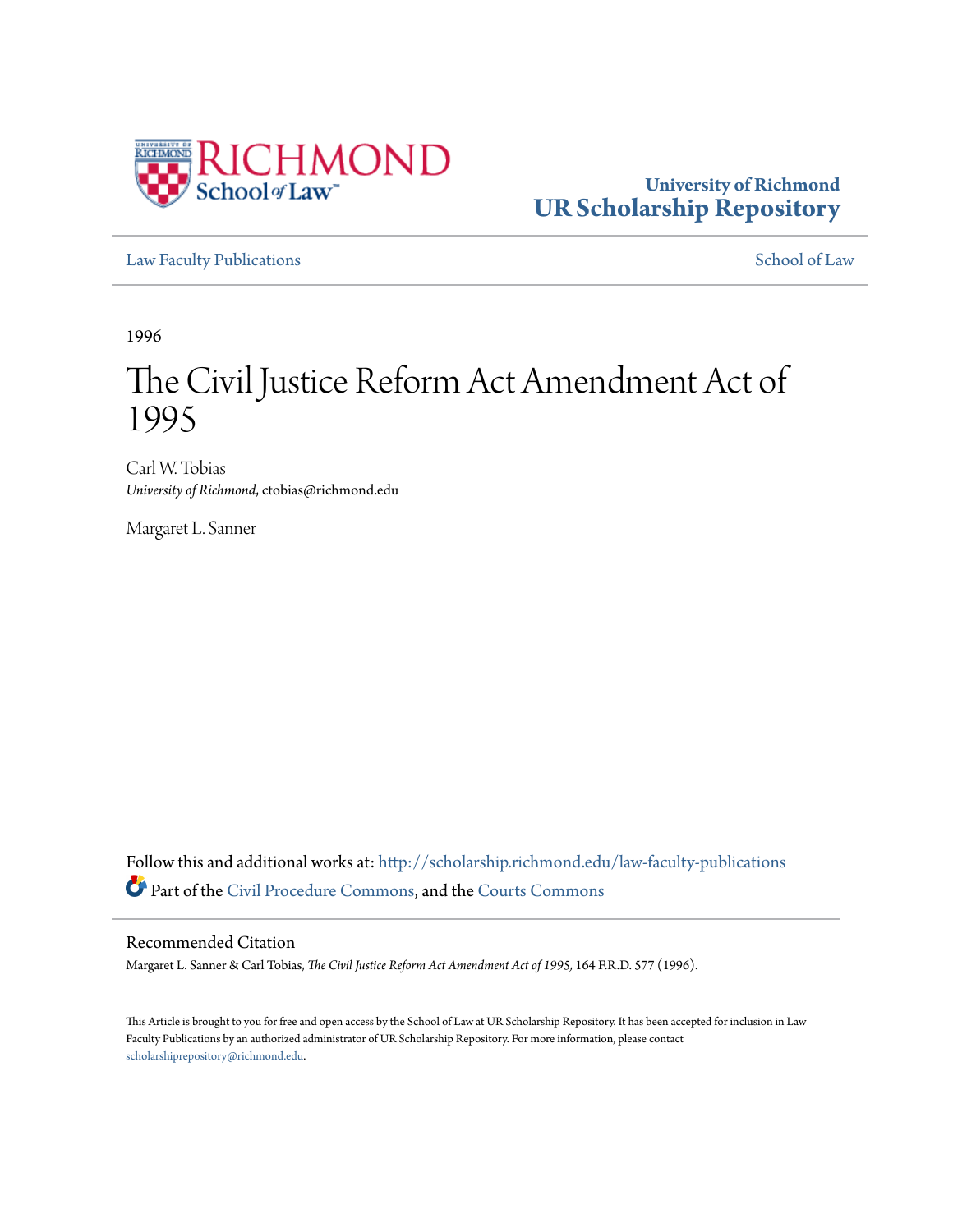

# **University of Richmond [UR Scholarship Repository](http://scholarship.richmond.edu?utm_source=scholarship.richmond.edu%2Flaw-faculty-publications%2F884&utm_medium=PDF&utm_campaign=PDFCoverPages)**

[Law Faculty Publications](http://scholarship.richmond.edu/law-faculty-publications?utm_source=scholarship.richmond.edu%2Flaw-faculty-publications%2F884&utm_medium=PDF&utm_campaign=PDFCoverPages) [School of Law](http://scholarship.richmond.edu/law?utm_source=scholarship.richmond.edu%2Flaw-faculty-publications%2F884&utm_medium=PDF&utm_campaign=PDFCoverPages)

1996

# The Civil Justice Reform Act Amendment Act of 1995

Carl W. Tobias *University of Richmond*, ctobias@richmond.edu

Margaret L. Sanner

Follow this and additional works at: [http://scholarship.richmond.edu/law-faculty-publications](http://scholarship.richmond.edu/law-faculty-publications?utm_source=scholarship.richmond.edu%2Flaw-faculty-publications%2F884&utm_medium=PDF&utm_campaign=PDFCoverPages) Part of the [Civil Procedure Commons](http://network.bepress.com/hgg/discipline/584?utm_source=scholarship.richmond.edu%2Flaw-faculty-publications%2F884&utm_medium=PDF&utm_campaign=PDFCoverPages), and the [Courts Commons](http://network.bepress.com/hgg/discipline/839?utm_source=scholarship.richmond.edu%2Flaw-faculty-publications%2F884&utm_medium=PDF&utm_campaign=PDFCoverPages)

# Recommended Citation

Margaret L. Sanner & Carl Tobias, *The Civil Justice Reform Act Amendment Act of 1995,* 164 F.R.D. 577 (1996).

This Article is brought to you for free and open access by the School of Law at UR Scholarship Repository. It has been accepted for inclusion in Law Faculty Publications by an authorized administrator of UR Scholarship Repository. For more information, please contact [scholarshiprepository@richmond.edu.](mailto:scholarshiprepository@richmond.edu)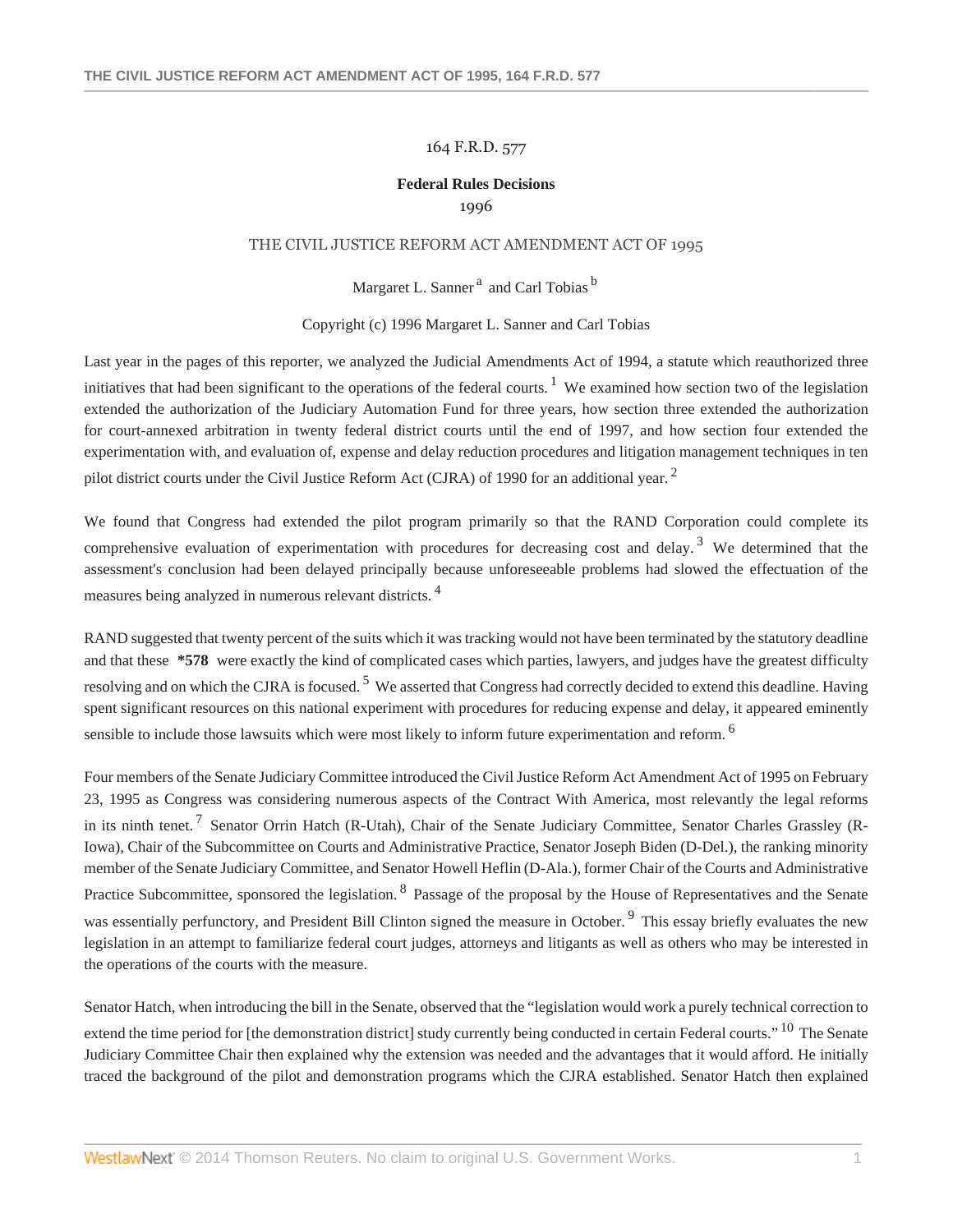#### 164 F.R.D. 577

## **Federal Rules Decisions** 1996

#### THE CIVIL JUSTICE REFORM ACT AMENDMENT ACT OF 1995

Margaret L. Sanner<sup>a</sup> and Carl Tobias<sup>b</sup>

#### Copyright (c) 1996 Margaret L. Sanner and Carl Tobias

Last year in the pages of this reporter, we analyzed the Judicial Amendments Act of 1994, a statute which reauthorized three initiatives that had been significant to the operations of the federal courts.<sup>1</sup> We examined how section two of the legislation extended the authorization of the Judiciary Automation Fund for three years, how section three extended the authorization for court-annexed arbitration in twenty federal district courts until the end of 1997, and how section four extended the experimentation with, and evaluation of, expense and delay reduction procedures and litigation management techniques in ten pilot district courts under the Civil Justice Reform Act (CJRA) of 1990 for an additional year.<sup>2</sup>

We found that Congress had extended the pilot program primarily so that the RAND Corporation could complete its comprehensive evaluation of experimentation with procedures for decreasing cost and delay.<sup>3</sup> We determined that the assessment's conclusion had been delayed principally because unforeseeable problems had slowed the effectuation of the measures being analyzed in numerous relevant districts. <sup>4</sup>

RAND suggested that twenty percent of the suits which it was tracking would not have been terminated by the statutory deadline and that these **\*578** were exactly the kind of complicated cases which parties, lawyers, and judges have the greatest difficulty resolving and on which the CJRA is focused.<sup>5</sup> We asserted that Congress had correctly decided to extend this deadline. Having spent significant resources on this national experiment with procedures for reducing expense and delay, it appeared eminently sensible to include those lawsuits which were most likely to inform future experimentation and reform. <sup>6</sup>

Four members of the Senate Judiciary Committee introduced the Civil Justice Reform Act Amendment Act of 1995 on February 23, 1995 as Congress was considering numerous aspects of the Contract With America, most relevantly the legal reforms in its ninth tenet.<sup>7</sup> Senator Orrin Hatch (R-Utah), Chair of the Senate Judiciary Committee, Senator Charles Grassley (R-Iowa), Chair of the Subcommittee on Courts and Administrative Practice, Senator Joseph Biden (D-Del.), the ranking minority member of the Senate Judiciary Committee, and Senator Howell Heflin (D-Ala.), former Chair of the Courts and Administrative Practice Subcommittee, sponsored the legislation. <sup>8</sup> Passage of the proposal by the House of Representatives and the Senate was essentially perfunctory, and President Bill Clinton signed the measure in October.<sup>9</sup> This essay briefly evaluates the new legislation in an attempt to familiarize federal court judges, attorneys and litigants as well as others who may be interested in the operations of the courts with the measure.

Senator Hatch, when introducing the bill in the Senate, observed that the "legislation would work a purely technical correction to extend the time period for [the demonstration district] study currently being conducted in certain Federal courts." <sup>10</sup> The Senate Judiciary Committee Chair then explained why the extension was needed and the advantages that it would afford. He initially traced the background of the pilot and demonstration programs which the CJRA established. Senator Hatch then explained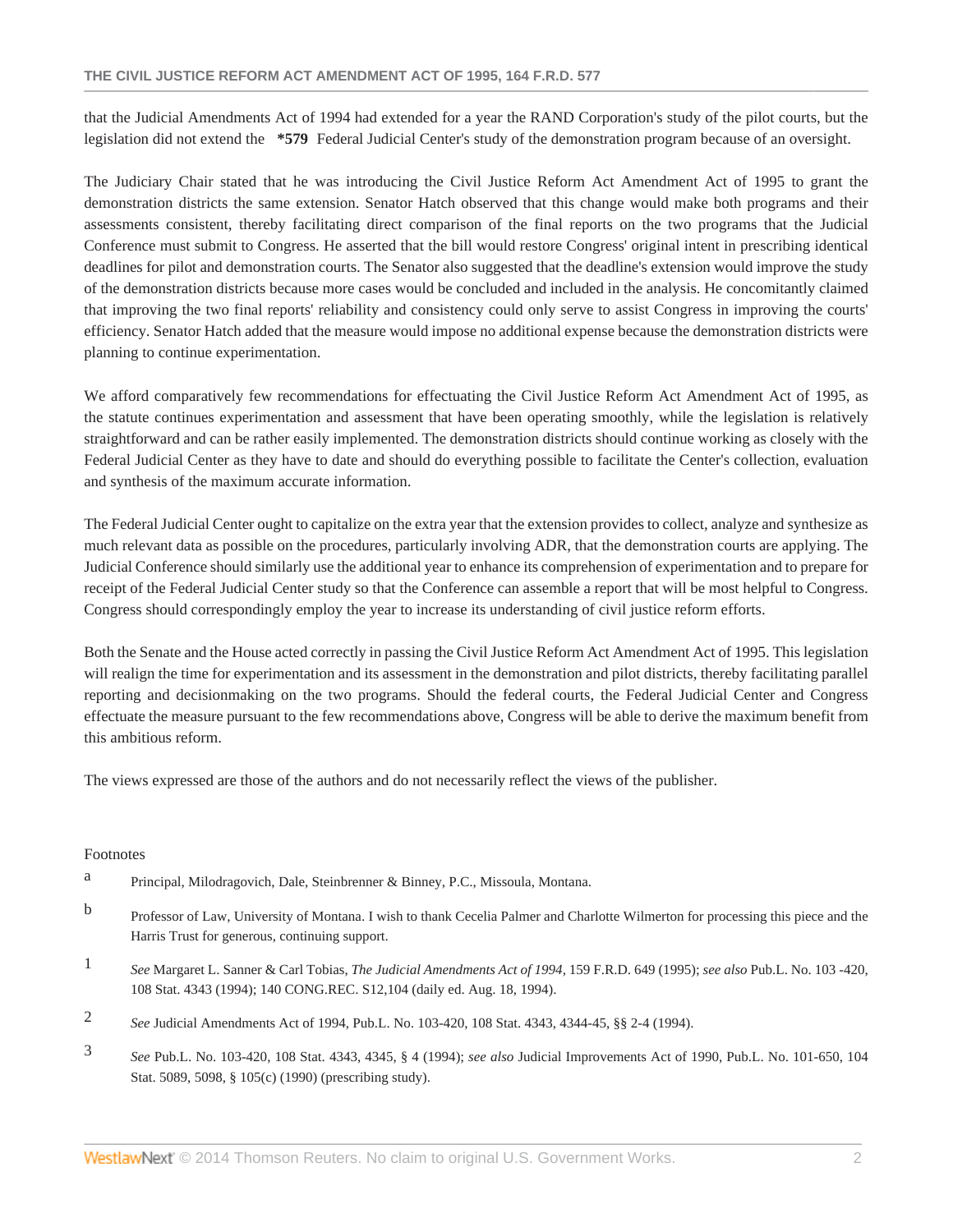that the Judicial Amendments Act of 1994 had extended for a year the RAND Corporation's study of the pilot courts, but the legislation did not extend the **\*579** Federal Judicial Center's study of the demonstration program because of an oversight.

The Judiciary Chair stated that he was introducing the Civil Justice Reform Act Amendment Act of 1995 to grant the demonstration districts the same extension. Senator Hatch observed that this change would make both programs and their assessments consistent, thereby facilitating direct comparison of the final reports on the two programs that the Judicial Conference must submit to Congress. He asserted that the bill would restore Congress' original intent in prescribing identical deadlines for pilot and demonstration courts. The Senator also suggested that the deadline's extension would improve the study of the demonstration districts because more cases would be concluded and included in the analysis. He concomitantly claimed that improving the two final reports' reliability and consistency could only serve to assist Congress in improving the courts' efficiency. Senator Hatch added that the measure would impose no additional expense because the demonstration districts were planning to continue experimentation.

We afford comparatively few recommendations for effectuating the Civil Justice Reform Act Amendment Act of 1995, as the statute continues experimentation and assessment that have been operating smoothly, while the legislation is relatively straightforward and can be rather easily implemented. The demonstration districts should continue working as closely with the Federal Judicial Center as they have to date and should do everything possible to facilitate the Center's collection, evaluation and synthesis of the maximum accurate information.

The Federal Judicial Center ought to capitalize on the extra year that the extension provides to collect, analyze and synthesize as much relevant data as possible on the procedures, particularly involving ADR, that the demonstration courts are applying. The Judicial Conference should similarly use the additional year to enhance its comprehension of experimentation and to prepare for receipt of the Federal Judicial Center study so that the Conference can assemble a report that will be most helpful to Congress. Congress should correspondingly employ the year to increase its understanding of civil justice reform efforts.

Both the Senate and the House acted correctly in passing the Civil Justice Reform Act Amendment Act of 1995. This legislation will realign the time for experimentation and its assessment in the demonstration and pilot districts, thereby facilitating parallel reporting and decisionmaking on the two programs. Should the federal courts, the Federal Judicial Center and Congress effectuate the measure pursuant to the few recommendations above, Congress will be able to derive the maximum benefit from this ambitious reform.

The views expressed are those of the authors and do not necessarily reflect the views of the publisher.

### Footnotes

- a Principal, Milodragovich, Dale, Steinbrenner & Binney, P.C., Missoula, Montana.
- b Professor of Law, University of Montana. I wish to thank Cecelia Palmer and Charlotte Wilmerton for processing this piece and the Harris Trust for generous, continuing support.
- 1 *See* Margaret L. Sanner & Carl Tobias, *The Judicial Amendments Act of 1994,* 159 F.R.D. 649 (1995); *see also* Pub.L. No. 103 -420, 108 Stat. 4343 (1994); 140 CONG.REC. S12,104 (daily ed. Aug. 18, 1994).
- 2 *See* Judicial Amendments Act of 1994, Pub.L. No. 103-420, 108 Stat. 4343, 4344-45, §§ 2-4 (1994).
- 3 *See* Pub.L. No. 103-420, 108 Stat. 4343, 4345, § 4 (1994); *see also* Judicial Improvements Act of 1990, Pub.L. No. 101-650, 104 Stat. 5089, 5098, § 105(c) (1990) (prescribing study).